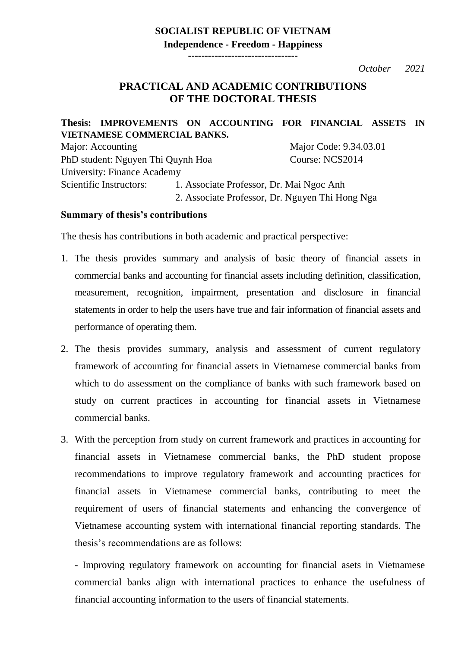## **SOCIALIST REPUBLIC OF VIETNAM Independence - Freedom - Happiness**

**---------------------------------**

*October 2021*

## **PRACTICAL AND ACADEMIC CONTRIBUTIONS OF THE DOCTORAL THESIS**

**Thesis: IMPROVEMENTS ON ACCOUNTING FOR FINANCIAL ASSETS IN VIETNAMESE COMMERCIAL BANKS.** Major: Accounting Major Code: 9.34.03.01 PhD student: Nguyen Thi Quynh Hoa Course: NCS2014 University: Finance Academy

Scientific Instructors: 1. Associate Professor, Dr. Mai Ngoc Anh 2. Associate Professor, Dr. Nguyen Thi Hong Nga

## **Summary of thesis's contributions**

The thesis has contributions in both academic and practical perspective:

- 1. The thesis provides summary and analysis of basic theory of financial assets in commercial banks and accounting for financial assets including definition, classification, measurement, recognition, impairment, presentation and disclosure in financial statements in order to help the users have true and fair information of financial assets and performance of operating them.
- 2. The thesis provides summary, analysis and assessment of current regulatory framework of accounting for financial assets in Vietnamese commercial banks from which to do assessment on the compliance of banks with such framework based on study on current practices in accounting for financial assets in Vietnamese commercial banks.
- 3. With the perception from study on current framework and practices in accounting for financial assets in Vietnamese commercial banks, the PhD student propose recommendations to improve regulatory framework and accounting practices for financial assets in Vietnamese commercial banks, contributing to meet the requirement of users of financial statements and enhancing the convergence of Vietnamese accounting system with international financial reporting standards. The thesis's recommendations are as follows:

- Improving regulatory framework on accounting for financial asets in Vietnamese commercial banks align with international practices to enhance the usefulness of financial accounting information to the users of financial statements.